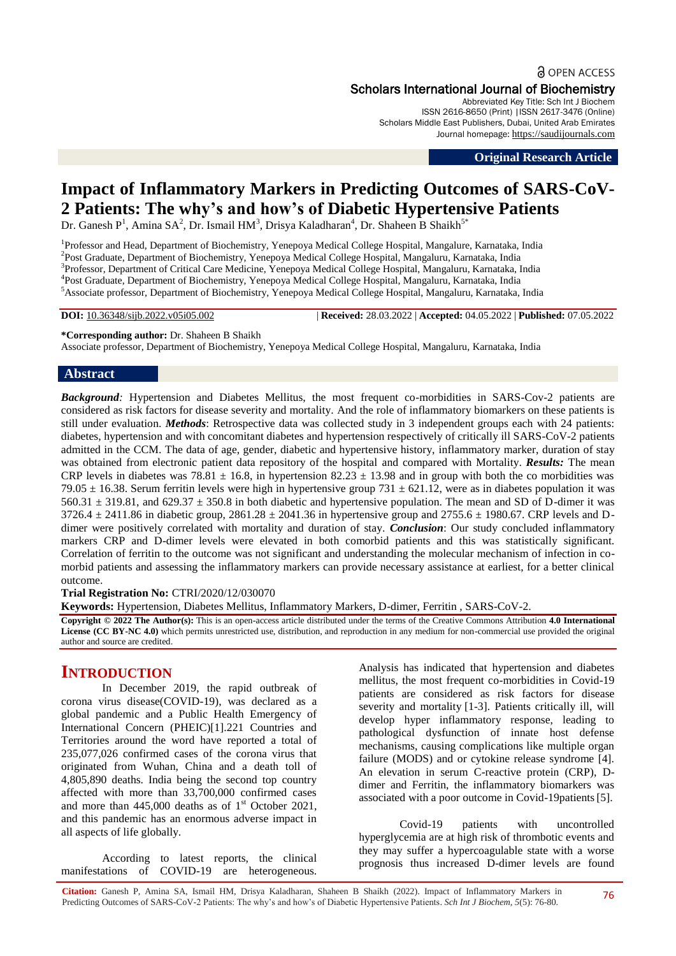# **a** OPEN ACCESS Scholars International Journal of Biochemistry

Abbreviated Key Title: Sch Int J Biochem ISSN 2616-8650 (Print) |ISSN 2617-3476 (Online) Scholars Middle East Publishers, Dubai, United Arab Emirates Journal homepage: [https://saudijournals.com](https://saudijournals.com/sijb)

**Original Research Article**

# **Impact of Inflammatory Markers in Predicting Outcomes of SARS-CoV-2 Patients: The why's and how's of Diabetic Hypertensive Patients**

Dr. Ganesh P<sup>1</sup>, Amina SA<sup>2</sup>, Dr. Ismail HM<sup>3</sup>, Drisya Kaladharan<sup>4</sup>, Dr. Shaheen B Shaikh<sup>5\*</sup>

<sup>1</sup>Professor and Head, Department of Biochemistry, Yenepoya Medical College Hospital, Mangalure, Karnataka, India 2 Post Graduate, Department of Biochemistry, Yenepoya Medical College Hospital, Mangaluru, Karnataka, India <sup>3</sup>Professor, Department of Critical Care Medicine, Yenepoya Medical College Hospital, Mangaluru, Karnataka, India 4 Post Graduate, Department of Biochemistry, Yenepoya Medical College Hospital, Mangaluru, Karnataka, India <sup>5</sup>Associate professor, Department of Biochemistry, Yenepoya Medical College Hospital, Mangaluru, Karnataka, India

**DOI:** 10.36348/sijb.2022.v05i05.002 | **Received:** 28.03.2022 | **Accepted:** 04.05.2022 | **Published:** 07.05.2022

**\*Corresponding author:** Dr. Shaheen B Shaikh Associate professor, Department of Biochemistry, Yenepoya Medical College Hospital, Mangaluru, Karnataka, India

# **Abstract**

*Background:* Hypertension and Diabetes Mellitus, the most frequent co-morbidities in SARS-Cov-2 patients are considered as risk factors for disease severity and mortality. And the role of inflammatory biomarkers on these patients is still under evaluation. *Methods*: Retrospective data was collected study in 3 independent groups each with 24 patients: diabetes, hypertension and with concomitant diabetes and hypertension respectively of critically ill SARS-CoV-2 patients admitted in the CCM. The data of age, gender, diabetic and hypertensive history, inflammatory marker, duration of stay was obtained from electronic patient data repository of the hospital and compared with Mortality. *Results:* The mean CRP levels in diabetes was 78.81  $\pm$  16.8, in hypertension 82.23  $\pm$  13.98 and in group with both the co morbidities was 79.05  $\pm$  16.38. Serum ferritin levels were high in hypertensive group 731  $\pm$  621.12, were as in diabetes population it was 560.31  $\pm$  319.81, and 629.37  $\pm$  350.8 in both diabetic and hypertensive population. The mean and SD of D-dimer it was  $3726.4 \pm 2411.86$  in diabetic group,  $2861.28 \pm 2041.36$  in hypertensive group and  $2755.6 \pm 1980.67$ . CRP levels and Ddimer were positively correlated with mortality and duration of stay. *Conclusion*: Our study concluded inflammatory markers CRP and D-dimer levels were elevated in both comorbid patients and this was statistically significant. Correlation of ferritin to the outcome was not significant and understanding the molecular mechanism of infection in comorbid patients and assessing the inflammatory markers can provide necessary assistance at earliest, for a better clinical outcome.

**Trial Registration No:** CTRI/2020/12/030070

**Keywords:** Hypertension, Diabetes Mellitus, Inflammatory Markers, D-dimer, Ferritin , SARS-CoV-2.

**Copyright © 2022 The Author(s):** This is an open-access article distributed under the terms of the Creative Commons Attribution **4.0 International License (CC BY-NC 4.0)** which permits unrestricted use, distribution, and reproduction in any medium for non-commercial use provided the original author and source are credited.

# **INTRODUCTION**

In December 2019, the rapid outbreak of corona virus disease(COVID-19), was declared as a global pandemic and a Public Health Emergency of International Concern (PHEIC)[1].221 Countries and Territories around the word have reported a total of 235,077,026 confirmed cases of the corona virus that originated from Wuhan, China and a death toll of 4,805,890 deaths. India being the second top country affected with more than 33,700,000 confirmed cases and more than  $445,000$  deaths as of  $1<sup>st</sup>$  October 2021, and this pandemic has an enormous adverse impact in all aspects of life globally.

According to latest reports, the clinical manifestations of COVID-19 are heterogeneous. Analysis has indicated that hypertension and diabetes mellitus, the most frequent co-morbidities in Covid-19 patients are considered as risk factors for disease severity and mortality [1-3]. Patients critically ill, will develop hyper inflammatory response, leading to pathological dysfunction of innate host defense mechanisms, causing complications like multiple organ failure (MODS) and or cytokine release syndrome [4]. An elevation in serum C-reactive protein (CRP), Ddimer and Ferritin, the inflammatory biomarkers was associated with a poor outcome in Covid-19patients[5].

Covid-19 patients with uncontrolled hyperglycemia are at high risk of thrombotic events and they may suffer a hypercoagulable state with a worse prognosis thus increased D-dimer levels are found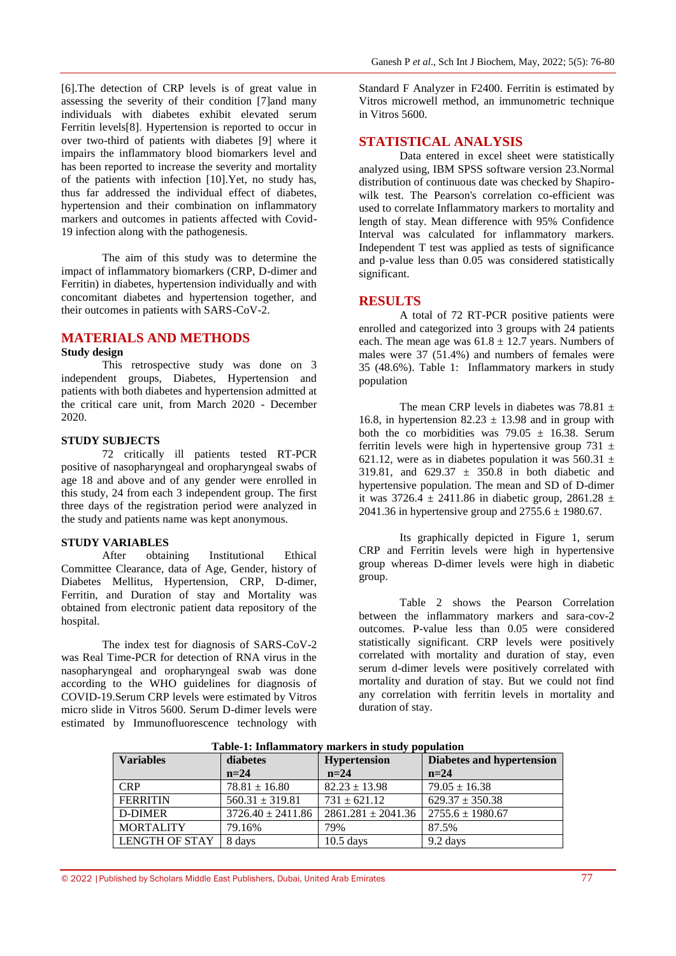[6].The detection of CRP levels is of great value in assessing the severity of their condition [7]and many individuals with diabetes exhibit elevated serum Ferritin levels[8]. Hypertension is reported to occur in over two-third of patients with diabetes [9] where it impairs the inflammatory blood biomarkers level and has been reported to increase the severity and mortality of the patients with infection [10].Yet, no study has, thus far addressed the individual effect of diabetes, hypertension and their combination on inflammatory markers and outcomes in patients affected with Covid-19 infection along with the pathogenesis.

The aim of this study was to determine the impact of inflammatory biomarkers (CRP, D-dimer and Ferritin) in diabetes, hypertension individually and with concomitant diabetes and hypertension together, and their outcomes in patients with SARS-CoV-2.

# **MATERIALS AND METHODS**

# **Study design**

This retrospective study was done on 3 independent groups, Diabetes, Hypertension and patients with both diabetes and hypertension admitted at the critical care unit, from March 2020 - December 2020.

# **STUDY SUBJECTS**

72 critically ill patients tested RT-PCR positive of nasopharyngeal and oropharyngeal swabs of age 18 and above and of any gender were enrolled in this study, 24 from each 3 independent group. The first three days of the registration period were analyzed in the study and patients name was kept anonymous.

# **STUDY VARIABLES**<br>After obtaining

After obtaining Institutional Ethical Committee Clearance, data of Age, Gender, history of Diabetes Mellitus, Hypertension, CRP, D-dimer, Ferritin, and Duration of stay and Mortality was obtained from electronic patient data repository of the hospital.

The index test for diagnosis of SARS-CoV-2 was Real Time-PCR for detection of RNA virus in the nasopharyngeal and oropharyngeal swab was done according to the WHO guidelines for diagnosis of COVID-19.Serum CRP levels were estimated by Vitros micro slide in Vitros 5600. Serum D-dimer levels were estimated by Immunofluorescence technology with

Standard F Analyzer in F2400. Ferritin is estimated by Vitros microwell method, an immunometric technique in Vitros 5600.

# **STATISTICAL ANALYSIS**

Data entered in excel sheet were statistically analyzed using, IBM SPSS software version 23.Normal distribution of continuous date was checked by Shapirowilk test. The Pearson's correlation co-efficient was used to correlate Inflammatory markers to mortality and length of stay. Mean difference with 95% Confidence Interval was calculated for inflammatory markers. Independent T test was applied as tests of significance and p-value less than 0.05 was considered statistically significant.

# **RESULTS**

A total of 72 RT-PCR positive patients were enrolled and categorized into 3 groups with 24 patients each. The mean age was  $61.8 \pm 12.7$  years. Numbers of males were 37 (51.4%) and numbers of females were 35 (48.6%). Table 1: Inflammatory markers in study population

The mean CRP levels in diabetes was  $78.81 \pm$ 16.8, in hypertension  $82.23 \pm 13.98$  and in group with both the co morbidities was  $79.05 \pm 16.38$ . Serum ferritin levels were high in hypertensive group  $731 \pm$ 621.12, were as in diabetes population it was  $560.31 \pm$ 319.81, and  $629.37 \pm 350.8$  in both diabetic and hypertensive population. The mean and SD of D-dimer it was  $3726.4 \pm 2411.86$  in diabetic group,  $2861.28 \pm$ 2041.36 in hypertensive group and  $2755.6 \pm 1980.67$ .

Its graphically depicted in Figure 1, serum CRP and Ferritin levels were high in hypertensive group whereas D-dimer levels were high in diabetic group.

Table 2 shows the Pearson Correlation between the inflammatory markers and sara-cov-2 outcomes. P-value less than 0.05 were considered statistically significant. CRP levels were positively correlated with mortality and duration of stay, even serum d-dimer levels were positively correlated with mortality and duration of stay. But we could not find any correlation with ferritin levels in mortality and duration of stay.

| <b>Variables</b> | diabetes              | <b>Hypertension</b>                           | Diabetes and hypertension |  |
|------------------|-----------------------|-----------------------------------------------|---------------------------|--|
|                  | $n=24$                | $n=24$                                        | $n=24$                    |  |
| <b>CRP</b>       | $78.81 \pm 16.80$     | $82.23 \pm 13.98$                             | $79.05 \pm 16.38$         |  |
| <b>FERRITIN</b>  | $560.31 \pm 319.81$   | $731 \pm 621.12$                              | $629.37 \pm 350.38$       |  |
| D-DIMER          | $3726.40 \pm 2411.86$ | $2861.281 \pm 2041.36$   $2755.6 \pm 1980.67$ |                           |  |
| <b>MORTALITY</b> | 79.16%                | 79%                                           | 87.5%                     |  |
| LENGTH OF STAY   | 8 days                | $10.5$ days                                   | 9.2 days                  |  |

**Table-1: Inflammatory markers in study population**

© 2022 |Published by Scholars Middle East Publishers, Dubai, United Arab Emirates 77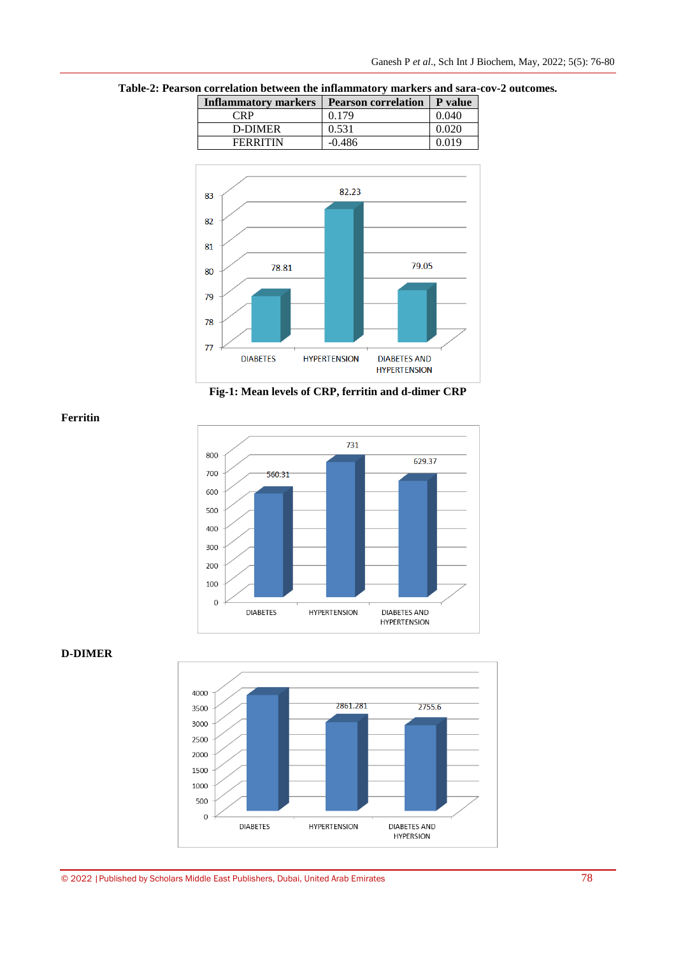**Table-2: Pearson correlation between the inflammatory markers and sara-cov-2 outcomes.**

| <b>Inflammatory markers</b> | <b>Pearson correlation   P value</b> |       |
|-----------------------------|--------------------------------------|-------|
| CRP                         | 0.179                                | 0.040 |
| D-DIMER                     | 0.531                                | 0.020 |
| <b>FERRITIN</b>             | $-0.486$                             | 0.019 |



**Fig-1: Mean levels of CRP, ferritin and d-dimer CRP**



# **D-DIMER**

**Ferritin**

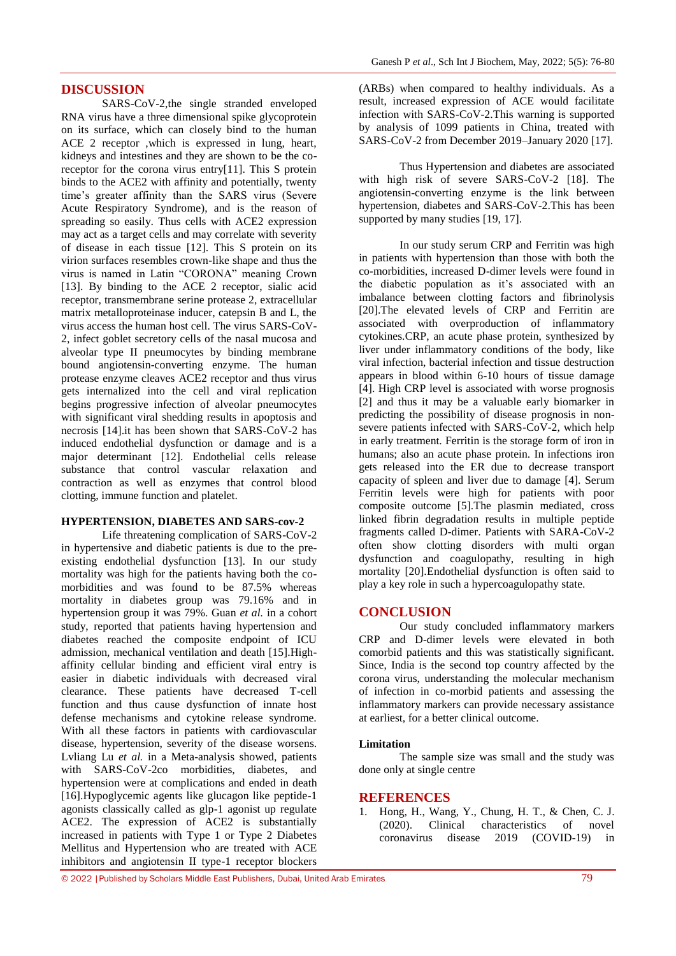# **DISCUSSION**

SARS-CoV-2,the single stranded enveloped RNA virus have a three dimensional spike glycoprotein on its surface, which can closely bind to the human ACE 2 receptor ,which is expressed in lung, heart, kidneys and intestines and they are shown to be the coreceptor for the corona virus entry[11]. This S protein binds to the ACE2 with affinity and potentially, twenty time's greater affinity than the SARS virus (Severe Acute Respiratory Syndrome), and is the reason of spreading so easily. Thus cells with ACE2 expression may act as a target cells and may correlate with severity of disease in each tissue [12]. This S protein on its virion surfaces resembles crown-like shape and thus the virus is named in Latin "CORONA" meaning Crown [13]. By binding to the ACE 2 receptor, sialic acid receptor, transmembrane serine protease 2, extracellular matrix metalloproteinase inducer, catepsin B and L, the virus access the human host cell. The virus SARS-CoV-2, infect goblet secretory cells of the nasal mucosa and alveolar type II pneumocytes by binding membrane bound angiotensin-converting enzyme. The human protease enzyme cleaves ACE2 receptor and thus virus gets internalized into the cell and viral replication begins progressive infection of alveolar pneumocytes with significant viral shedding results in apoptosis and necrosis [14].it has been shown that SARS-CoV-2 has induced endothelial dysfunction or damage and is a major determinant [12]. Endothelial cells release substance that control vascular relaxation and contraction as well as enzymes that control blood clotting, immune function and platelet.

#### **HYPERTENSION, DIABETES AND SARS-cov-2**

Life threatening complication of SARS-CoV-2 in hypertensive and diabetic patients is due to the preexisting endothelial dysfunction [13]. In our study mortality was high for the patients having both the comorbidities and was found to be 87.5% whereas mortality in diabetes group was 79.16% and in hypertension group it was 79%. Guan *et al.* in a cohort study, reported that patients having hypertension and diabetes reached the composite endpoint of ICU admission, mechanical ventilation and death [15].Highaffinity cellular binding and efficient viral entry is easier in diabetic individuals with decreased viral clearance. These patients have decreased T-cell function and thus cause dysfunction of innate host defense mechanisms and cytokine release syndrome. With all these factors in patients with cardiovascular disease, hypertension, severity of the disease worsens. [Lvliang Lu](https://www.sciencedirect.com/science/article/pii/S0163445320304606#!) *et al.* in a Meta-analysis showed, patients with SARS-CoV-2co morbidities, diabetes, and hypertension were at complications and ended in death [16].Hypoglycemic agents like glucagon like peptide-1 agonists classically called as glp-1 agonist up regulate ACE2. The expression of ACE2 is substantially increased in patients with Type 1 or Type 2 Diabetes Mellitus and Hypertension who are treated with ACE inhibitors and angiotensin II type-1 receptor blockers

(ARBs) when compared to healthy individuals. As a result, increased expression of ACE would facilitate infection with SARS-CoV-2.This warning is supported by analysis of 1099 patients in China, treated with SARS-CoV-2 from December 2019–January 2020 [17].

Thus Hypertension and diabetes are associated with high risk of severe SARS-CoV-2 [18]. The angiotensin-converting enzyme is the link between hypertension, diabetes and SARS-CoV-2.This has been supported by many studies [19, 17].

In our study serum CRP and Ferritin was high in patients with hypertension than those with both the co-morbidities, increased D-dimer levels were found in the diabetic population as it's associated with an imbalance between clotting factors and fibrinolysis [20].The elevated levels of CRP and Ferritin are associated with overproduction of inflammatory cytokines.CRP, an acute phase protein, synthesized by liver under inflammatory conditions of the body, like viral infection, bacterial infection and tissue destruction appears in blood within 6-10 hours of tissue damage [4]. High CRP level is associated with worse prognosis [2] and thus it may be a valuable early biomarker in predicting the possibility of disease prognosis in nonsevere patients infected with SARS-CoV-2, which help in early treatment. Ferritin is the storage form of iron in humans; also an acute phase protein. In infections iron gets released into the ER due to decrease transport capacity of spleen and liver due to damage [4]. Serum Ferritin levels were high for patients with poor composite outcome [5].The plasmin mediated, cross linked fibrin degradation results in multiple peptide fragments called D-dimer. Patients with SARA-CoV-2 often show clotting disorders with multi organ dysfunction and coagulopathy, resulting in high mortality [20].Endothelial dysfunction is often said to play a key role in such a hypercoagulopathy state.

### **CONCLUSION**

Our study concluded inflammatory markers CRP and D-dimer levels were elevated in both comorbid patients and this was statistically significant. Since, India is the second top country affected by the corona virus, understanding the molecular mechanism of infection in co-morbid patients and assessing the inflammatory markers can provide necessary assistance at earliest, for a better clinical outcome.

### **Limitation**

The sample size was small and the study was done only at single centre

#### **REFERENCES**

1. Hong, H., Wang, Y., Chung, H. T., & Chen, C. J. (2020). Clinical characteristics of novel coronavirus disease 2019 (COVID-19) in